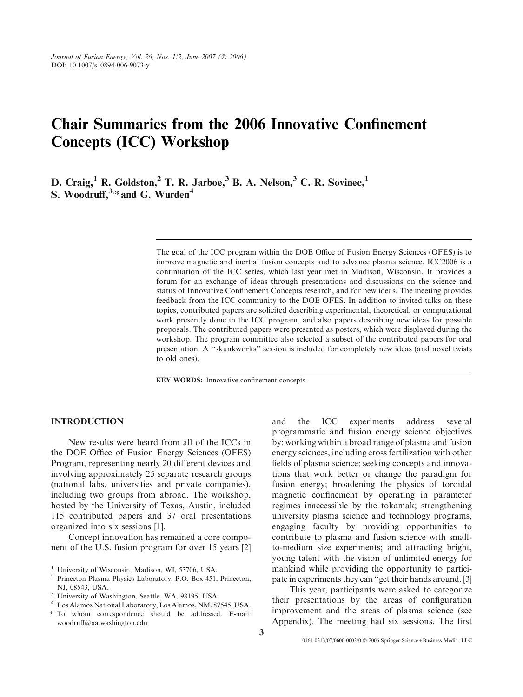# Chair Summaries from the 2006 Innovative Confinement Concepts (ICC) Workshop

D. Craig,<sup>1</sup> R. Goldston,<sup>2</sup> T. R. Jarboe,<sup>3</sup> B. A. Nelson,<sup>3</sup> C. R. Sovinec,<sup>1</sup> S. Woodruff,<sup>3,\*</sup> and G. Wurden<sup>4</sup>

> The goal of the ICC program within the DOE Office of Fusion Energy Sciences (OFES) is to improve magnetic and inertial fusion concepts and to advance plasma science. ICC2006 is a continuation of the ICC series, which last year met in Madison, Wisconsin. It provides a forum for an exchange of ideas through presentations and discussions on the science and status of Innovative Confinement Concepts research, and for new ideas. The meeting provides feedback from the ICC community to the DOE OFES. In addition to invited talks on these topics, contributed papers are solicited describing experimental, theoretical, or computational work presently done in the ICC program, and also papers describing new ideas for possible proposals. The contributed papers were presented as posters, which were displayed during the workshop. The program committee also selected a subset of the contributed papers for oral presentation. A ''skunkworks'' session is included for completely new ideas (and novel twists to old ones).

KEY WORDS: Innovative confinement concepts.

## INTRODUCTION

New results were heard from all of the ICCs in the DOE Office of Fusion Energy Sciences (OFES) Program, representing nearly 20 different devices and involving approximately 25 separate research groups (national labs, universities and private companies), including two groups from abroad. The workshop, hosted by the University of Texas, Austin, included 115 contributed papers and 37 oral presentations organized into six sessions [1].

Concept innovation has remained a core component of the U.S. fusion program for over 15 years [2]

<sup>1</sup> University of Wisconsin, Madison, WI, 53706, USA. <sup>2</sup> Princeton Plasma Physics Laboratory, P.O. Box 451, Princeton, NJ, 08543, USA.<br><sup>3</sup> University of Washington, Seattle, WA, 98195, USA.<br><sup>4</sup> Los Alamos National Laboratory, Los Alamos, NM, 87545, USA.

\* To whom correspondence should be addressed. E-mail: woodruff@aa.washington.edu

and the ICC experiments address several programmatic and fusion energy science objectives by: working within a broad range of plasma and fusion energy sciences, including cross fertilization with other fields of plasma science; seeking concepts and innovations that work better or change the paradigm for fusion energy; broadening the physics of toroidal magnetic confinement by operating in parameter regimes inaccessible by the tokamak; strengthening university plasma science and technology programs, engaging faculty by providing opportunities to contribute to plasma and fusion science with smallto-medium size experiments; and attracting bright, young talent with the vision of unlimited energy for mankind while providing the opportunity to participate in experiments they can ''get their hands around. [3]

This year, participants were asked to categorize their presentations by the areas of configuration improvement and the areas of plasma science (see Appendix). The meeting had six sessions. The first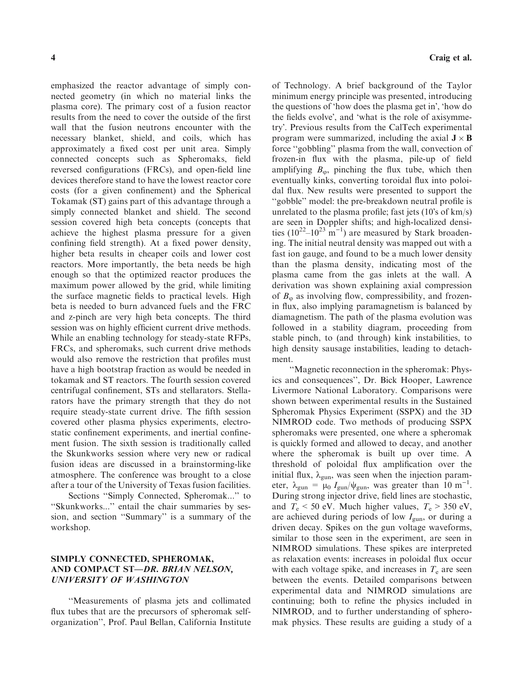emphasized the reactor advantage of simply connected geometry (in which no material links the plasma core). The primary cost of a fusion reactor results from the need to cover the outside of the first wall that the fusion neutrons encounter with the necessary blanket, shield, and coils, which has approximately a fixed cost per unit area. Simply connected concepts such as Spheromaks, field reversed configurations (FRCs), and open-field line devices therefore stand to have the lowest reactor core costs (for a given confinement) and the Spherical Tokamak (ST) gains part of this advantage through a simply connected blanket and shield. The second session covered high beta concepts (concepts that achieve the highest plasma pressure for a given confining field strength). At a fixed power density, higher beta results in cheaper coils and lower cost reactors. More importantly, the beta needs be high enough so that the optimized reactor produces the maximum power allowed by the grid, while limiting the surface magnetic fields to practical levels. High beta is needed to burn advanced fuels and the FRC and z-pinch are very high beta concepts. The third session was on highly efficient current drive methods. While an enabling technology for steady-state RFPs, FRCs, and spheromaks, such current drive methods would also remove the restriction that profiles must have a high bootstrap fraction as would be needed in tokamak and ST reactors. The fourth session covered centrifugal confinement, STs and stellarators. Stellarators have the primary strength that they do not require steady-state current drive. The fifth session covered other plasma physics experiments, electrostatic confinement experiments, and inertial confinement fusion. The sixth session is traditionally called the Skunkworks session where very new or radical fusion ideas are discussed in a brainstorming-like atmosphere. The conference was brought to a close after a tour of the University of Texas fusion facilities.

Sections ''Simply Connected, Spheromak...'' to ''Skunkworks...'' entail the chair summaries by session, and section ''Summary'' is a summary of the workshop.

# SIMPLY CONNECTED, SPHEROMAK, AND COMPACT ST—DR. BRIAN NELSON, UNIVERSITY OF WASHINGTON

''Measurements of plasma jets and collimated flux tubes that are the precursors of spheromak selforganization'', Prof. Paul Bellan, California Institute

of Technology. A brief background of the Taylor minimum energy principle was presented, introducing the questions of 'how does the plasma get in', 'how do the fields evolve', and 'what is the role of axisymmetry!. Previous results from the CalTech experimental program were summarized, including the axial  $\mathbf{J} \times \mathbf{B}$ force ''gobbling'' plasma from the wall, convection of frozen-in flux with the plasma, pile-up of field amplifying  $B_{\varphi}$ , pinching the flux tube, which then eventually kinks, converting toroidal flux into poloidal flux. New results were presented to support the ''gobble'' model: the pre-breakdown neutral profile is unrelated to the plasma profile; fast jets  $(10's \text{ of } km/s)$ are seen in Doppler shifts; and high-localized densities  $(10^{22} - 10^{23} \text{ m}^{-1})$  are measured by Stark broadening. The initial neutral density was mapped out with a fast ion gauge, and found to be a much lower density than the plasma density, indicating most of the plasma came from the gas inlets at the wall. A derivation was shown explaining axial compression of  $B_{\varphi}$  as involving flow, compressibility, and frozenin flux, also implying paramagnetism is balanced by diamagnetism. The path of the plasma evolution was followed in a stability diagram, proceeding from stable pinch, to (and through) kink instabilities, to high density sausage instabilities, leading to detachment.

''Magnetic reconnection in the spheromak: Physics and consequences'', Dr. Bick Hooper, Lawrence Livermore National Laboratory. Comparisons were shown between experimental results in the Sustained Spheromak Physics Experiment (SSPX) and the 3D NIMROD code. Two methods of producing SSPX spheromaks were presented, one where a spheromak is quickly formed and allowed to decay, and another where the spheromak is built up over time. A threshold of poloidal flux amplification over the initial flux,  $\lambda_{\text{gun}}$ , was seen when the injection parameter,  $\lambda_{\text{gun}} = \mu_0 I_{\text{gun}} / \psi_{\text{gun}}$ , was greater than 10 m<sup>-1</sup>. During strong injector drive, field lines are stochastic, and  $T_e$  < 50 eV. Much higher values,  $T_e$  > 350 eV, are achieved during periods of low  $I_{\text{gun}}$ , or during a driven decay. Spikes on the gun voltage waveforms, similar to those seen in the experiment, are seen in NIMROD simulations. These spikes are interpreted as relaxation events: increases in poloidal flux occur with each voltage spike, and increases in  $T_e$  are seen between the events. Detailed comparisons between experimental data and NIMROD simulations are continuing; both to refine the physics included in NIMROD, and to further understanding of spheromak physics. These results are guiding a study of a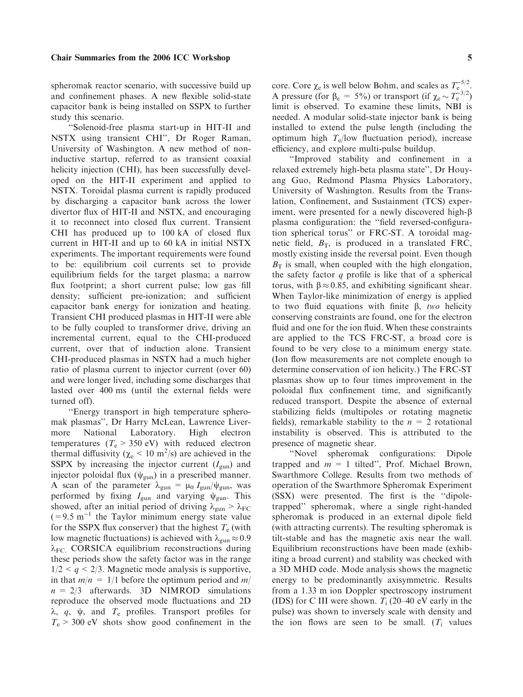spheromak reactor scenario, with successive build up and confinement phases. A new flexible solid-state capacitor bank is being installed on SSPX to further study this scenario.

''Solenoid-free plasma start-up in HIT-II and NSTX using transient CHI'', Dr Roger Raman, University of Washington. A new method of noninductive startup, referred to as transient coaxial helicity injection (CHI), has been successfully developed on the HIT-II experiment and applied to NSTX. Toroidal plasma current is rapidly produced by discharging a capacitor bank across the lower divertor flux of HIT-II and NSTX, and encouraging it to reconnect into closed flux current. Transient CHI has produced up to 100 kA of closed flux current in HIT-II and up to 60 kA in initial NSTX experiments. The important requirements were found to be: equilibrium coil currents set to provide equilibrium fields for the target plasma; a narrow flux footprint; a short current pulse; low gas fill density; sufficient pre-ionization; and sufficient capacitor bank energy for ionization and heating. Transient CHI produced plasmas in HIT-II were able to be fully coupled to transformer drive, driving an incremental current, equal to the CHI-produced current, over that of induction alone. Transient CHI-produced plasmas in NSTX had a much higher ratio of plasma current to injector current (over 60) and were longer lived, including some discharges that lasted over 400 ms (until the external fields were turned off).

''Energy transport in high temperature spheromak plasmas'', Dr Harry McLean, Lawrence Livermore National Laboratory. High electron temperatures ( $T_e > 350$  eV) with reduced electron thermal diffusivity ( $\chi_e$  < 10 m<sup>2</sup>/s) are achieved in the SSPX by increasing the injector current  $(I_{\text{gun}})$  and injector poloidal flux  $(\psi_{gun})$  in a prescribed manner. A scan of the parameter  $\lambda_{\text{gun}} = \mu_0 I_{\text{gun}}/\psi_{\text{gun}}$ , was performed by fixing  $I_{\text{gun}}$  and varying  $\psi_{\text{gun}}$ . This showed, after an initial period of driving  $\lambda_{\text{gun}} > \lambda_{\text{FC}}$  $(=9.5 \text{ m}^{-1}$  the Taylor minimum energy state value for the SSPX flux conserver) that the highest  $T_e$  (with low magnetic fluctuations) is achieved with  $\lambda_{\text{gun}} \approx 0.9$  $\lambda_{FC}$ . CORSICA equilibrium reconstructions during these periods show the safety factor was in the range  $1/2 < q < 2/3$ . Magnetic mode analysis is supportive, in that  $m/n = 1/1$  before the optimum period and  $m/$  $n = 2/3$  afterwards. 3D NIMROD simulations reproduce the observed mode fluctuations and 2D  $\lambda$ , q,  $\psi$ , and  $T_e$  profiles. Transport profiles for  $T_e > 300$  eV shots show good confinement in the core. Core  $\chi_e$  is well below Bohm, and scales as  $T_e^{-5/2}$ . A pressure (for  $\beta_e = 5\%$ ) or transport (if  $\chi_e \sim T_e^{-3/2}$ ) limit is observed. To examine these limits, NBI is needed. A modular solid-state injector bank is being installed to extend the pulse length (including the optimum high  $T_e$ /low fluctuation period), increase efficiency, and explore multi-pulse buildup.

''Improved stability and confinement in a relaxed extremely high-beta plasma state'', Dr Houyang Guo, Redmond Plasma Physics Laboratory, University of Washington. Results from the Translation, Confinement, and Sustainment (TCS) experiment, were presented for a newly discovered high- $\beta$ plasma configuration: the ''field reversed-configuration spherical torus'' or FRC-ST. A toroidal magnetic field,  $B_T$ , is produced in a translated FRC, mostly existing inside the reversal point. Even though  $B<sub>T</sub>$  is small, when coupled with the high elongation, the safety factor  $q$  profile is like that of a spherical torus, with  $\beta \approx 0.85$ , and exhibiting significant shear. When Taylor-like minimization of energy is applied to two fluid equations with finite  $\beta$ , two helicity conserving constraints are found, one for the electron fluid and one for the ion fluid. When these constraints are applied to the TCS FRC-ST, a broad core is found to be very close to a minimum energy state. (Ion flow measurements are not complete enough to determine conservation of ion helicity.) The FRC-ST plasmas show up to four times improvement in the poloidal flux confinement time, and significantly reduced transport. Despite the absence of external stabilizing fields (multipoles or rotating magnetic fields), remarkable stability to the  $n = 2$  rotational instability is observed. This is attributed to the presence of magnetic shear.

''Novel spheromak configurations: Dipole trapped and  $m = 1$  tilted", Prof. Michael Brown, Swarthmore College. Results from two methods of operation of the Swarthmore Spheromak Experiment (SSX) were presented. The first is the ''dipoletrapped'' spheromak, where a single right-handed spheromak is produced in an external dipole field (with attracting currents). The resulting spheromak is tilt-stable and has the magnetic axis near the wall. Equilibrium reconstructions have been made (exhibiting a broad current) and stability was checked with a 3D MHD code. Mode analysis shows the magnetic energy to be predominantly axisymmetric. Results from a 1.33 m ion Doppler spectroscopy instrument (IDS) for C III were shown.  $T_i$  (20–40 eV early in the pulse) was shown to inversely scale with density and the ion flows are seen to be small.  $(T<sub>i</sub>$  values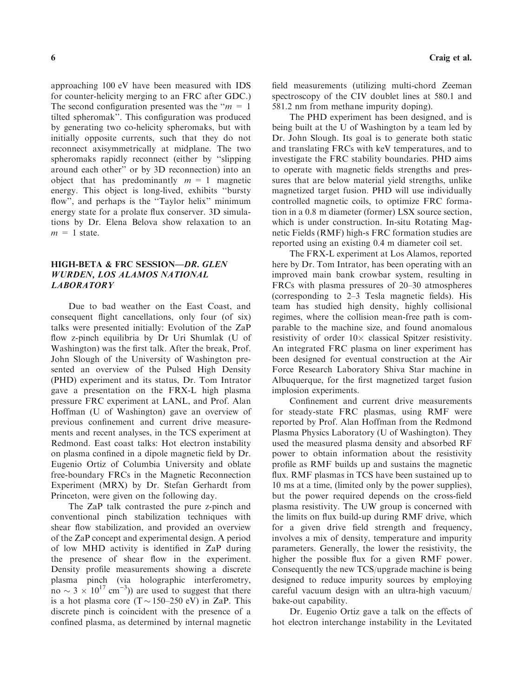approaching 100 eV have been measured with IDS for counter-helicity merging to an FRC after GDC.) The second configuration presented was the " $m = 1$ " tilted spheromak''. This configuration was produced by generating two co-helicity spheromaks, but with initially opposite currents, such that they do not reconnect axisymmetrically at midplane. The two spheromaks rapidly reconnect (either by ''slipping around each other'' or by 3D reconnection) into an object that has predominantly  $m = 1$  magnetic energy. This object is long-lived, exhibits ''bursty flow", and perhaps is the "Taylor helix" minimum energy state for a prolate flux conserver. 3D simulations by Dr. Elena Belova show relaxation to an  $m = 1$  state.

# HIGH-BETA & FRC SESSION—DR. GLEN WURDEN, LOS ALAMOS NATIONAL LABORATORY

Due to bad weather on the East Coast, and consequent flight cancellations, only four (of six) talks were presented initially: Evolution of the ZaP flow z-pinch equilibria by Dr Uri Shumlak (U of Washington) was the first talk. After the break, Prof. John Slough of the University of Washington presented an overview of the Pulsed High Density (PHD) experiment and its status, Dr. Tom Intrator gave a presentation on the FRX-L high plasma pressure FRC experiment at LANL, and Prof. Alan Hoffman (U of Washington) gave an overview of previous confinement and current drive measurements and recent analyses, in the TCS experiment at Redmond. East coast talks: Hot electron instability on plasma confined in a dipole magnetic field by Dr. Eugenio Ortiz of Columbia University and oblate free-boundary FRCs in the Magnetic Reconnection Experiment (MRX) by Dr. Stefan Gerhardt from Princeton, were given on the following day.

The ZaP talk contrasted the pure z-pinch and conventional pinch stabilization techniques with shear flow stabilization, and provided an overview of the ZaP concept and experimental design. A period of low MHD activity is identified in ZaP during the presence of shear flow in the experiment. Density profile measurements showing a discrete plasma pinch (via holographic interferometry, no  $\sim$  3  $\times$  10<sup>17</sup> cm<sup>-3</sup>)) are used to suggest that there is a hot plasma core  $(T \sim 150-250 \text{ eV})$  in ZaP. This discrete pinch is coincident with the presence of a confined plasma, as determined by internal magnetic

field measurements (utilizing multi-chord Zeeman spectroscopy of the CIV doublet lines at 580.1 and 581.2 nm from methane impurity doping).

The PHD experiment has been designed, and is being built at the U of Washington by a team led by Dr. John Slough. Its goal is to generate both static and translating FRCs with keV temperatures, and to investigate the FRC stability boundaries. PHD aims to operate with magnetic fields strengths and pressures that are below material yield strengths, unlike magnetized target fusion. PHD will use individually controlled magnetic coils, to optimize FRC formation in a 0.8 m diameter (former) LSX source section, which is under construction. In-situ Rotating Magnetic Fields (RMF) high-s FRC formation studies are reported using an existing 0.4 m diameter coil set.

The FRX-L experiment at Los Alamos, reported here by Dr. Tom Intrator, has been operating with an improved main bank crowbar system, resulting in FRCs with plasma pressures of 20–30 atmospheres (corresponding to 2–3 Tesla magnetic fields). His team has studied high density, highly collisional regimes, where the collision mean-free path is comparable to the machine size, and found anomalous resistivity of order  $10 \times$  classical Spitzer resistivity. An integrated FRC plasma on liner experiment has been designed for eventual construction at the Air Force Research Laboratory Shiva Star machine in Albuquerque, for the first magnetized target fusion implosion experiments.

Confinement and current drive measurements for steady-state FRC plasmas, using RMF were reported by Prof. Alan Hoffman from the Redmond Plasma Physics Laboratory (U of Washington). They used the measured plasma density and absorbed RF power to obtain information about the resistivity profile as RMF builds up and sustains the magnetic flux. RMF plasmas in TCS have been sustained up to 10 ms at a time, (limited only by the power supplies), but the power required depends on the cross-field plasma resistivity. The UW group is concerned with the limits on flux build-up during RMF drive, which for a given drive field strength and frequency, involves a mix of density, temperature and impurity parameters. Generally, the lower the resistivity, the higher the possible flux for a given RMF power. Consequently the new TCS/upgrade machine is being designed to reduce impurity sources by employing careful vacuum design with an ultra-high vacuum/ bake-out capability.

Dr. Eugenio Ortiz gave a talk on the effects of hot electron interchange instability in the Levitated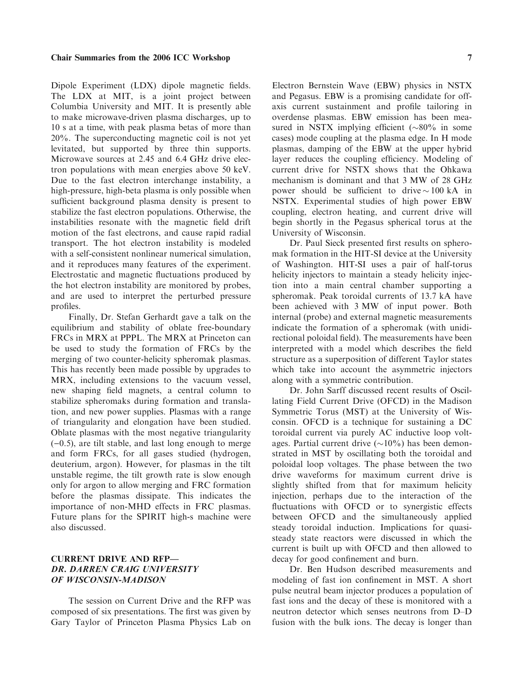Dipole Experiment (LDX) dipole magnetic fields. The LDX at MIT, is a joint project between Columbia University and MIT. It is presently able to make microwave-driven plasma discharges, up to 10 s at a time, with peak plasma betas of more than 20%. The superconducting magnetic coil is not yet levitated, but supported by three thin supports. Microwave sources at 2.45 and 6.4 GHz drive electron populations with mean energies above 50 keV. Due to the fast electron interchange instability, a high-pressure, high-beta plasma is only possible when sufficient background plasma density is present to stabilize the fast electron populations. Otherwise, the instabilities resonate with the magnetic field drift motion of the fast electrons, and cause rapid radial transport. The hot electron instability is modeled with a self-consistent nonlinear numerical simulation, and it reproduces many features of the experiment. Electrostatic and magnetic fluctuations produced by the hot electron instability are monitored by probes, and are used to interpret the perturbed pressure profiles.

Finally, Dr. Stefan Gerhardt gave a talk on the equilibrium and stability of oblate free-boundary FRCs in MRX at PPPL. The MRX at Princeton can be used to study the formation of FRCs by the merging of two counter-helicity spheromak plasmas. This has recently been made possible by upgrades to MRX, including extensions to the vacuum vessel, new shaping field magnets, a central column to stabilize spheromaks during formation and translation, and new power supplies. Plasmas with a range of triangularity and elongation have been studied. Oblate plasmas with the most negative triangularity  $(-0.5)$ , are tilt stable, and last long enough to merge and form FRCs, for all gases studied (hydrogen, deuterium, argon). However, for plasmas in the tilt unstable regime, the tilt growth rate is slow enough only for argon to allow merging and FRC formation before the plasmas dissipate. This indicates the importance of non-MHD effects in FRC plasmas. Future plans for the SPIRIT high-s machine were also discussed.

# CURRENT DRIVE AND RFP— DR. DARREN CRAIG UNIVERSITY OF WISCONSIN-MADISON

The session on Current Drive and the RFP was composed of six presentations. The first was given by Gary Taylor of Princeton Plasma Physics Lab on Electron Bernstein Wave (EBW) physics in NSTX and Pegasus. EBW is a promising candidate for offaxis current sustainment and profile tailoring in overdense plasmas. EBW emission has been measured in NSTX implying efficient  $({\sim}80\%$  in some cases) mode coupling at the plasma edge. In H mode plasmas, damping of the EBW at the upper hybrid layer reduces the coupling efficiency. Modeling of current drive for NSTX shows that the Ohkawa mechanism is dominant and that 3 MW of 28 GHz power should be sufficient to drive  $\sim$  100 kA in NSTX. Experimental studies of high power EBW coupling, electron heating, and current drive will begin shortly in the Pegasus spherical torus at the University of Wisconsin.

Dr. Paul Sieck presented first results on spheromak formation in the HIT-SI device at the University of Washington. HIT-SI uses a pair of half-torus helicity injectors to maintain a steady helicity injection into a main central chamber supporting a spheromak. Peak toroidal currents of 13.7 kA have been achieved with 3 MW of input power. Both internal (probe) and external magnetic measurements indicate the formation of a spheromak (with unidirectional poloidal field). The measurements have been interpreted with a model which describes the field structure as a superposition of different Taylor states which take into account the asymmetric injectors along with a symmetric contribution.

Dr. John Sarff discussed recent results of Oscillating Field Current Drive (OFCD) in the Madison Symmetric Torus (MST) at the University of Wisconsin. OFCD is a technique for sustaining a DC toroidal current via purely AC inductive loop voltages. Partial current drive  $(\sim 10\%)$  has been demonstrated in MST by oscillating both the toroidal and poloidal loop voltages. The phase between the two drive waveforms for maximum current drive is slightly shifted from that for maximum helicity injection, perhaps due to the interaction of the fluctuations with OFCD or to synergistic effects between OFCD and the simultaneously applied steady toroidal induction. Implications for quasisteady state reactors were discussed in which the current is built up with OFCD and then allowed to decay for good confinement and burn.

Dr. Ben Hudson described measurements and modeling of fast ion confinement in MST. A short pulse neutral beam injector produces a population of fast ions and the decay of these is monitored with a neutron detector which senses neutrons from D–D fusion with the bulk ions. The decay is longer than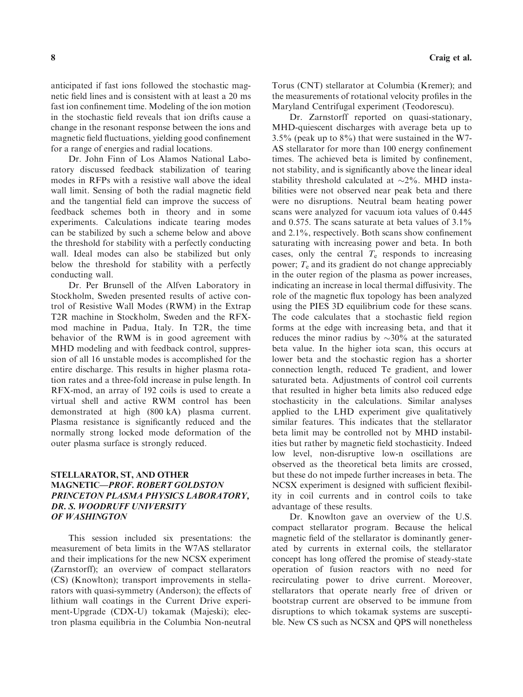anticipated if fast ions followed the stochastic magnetic field lines and is consistent with at least a 20 ms fast ion confinement time. Modeling of the ion motion in the stochastic field reveals that ion drifts cause a change in the resonant response between the ions and magnetic field fluctuations, yielding good confinement for a range of energies and radial locations.

Dr. John Finn of Los Alamos National Laboratory discussed feedback stabilization of tearing modes in RFPs with a resistive wall above the ideal wall limit. Sensing of both the radial magnetic field and the tangential field can improve the success of feedback schemes both in theory and in some experiments. Calculations indicate tearing modes can be stabilized by such a scheme below and above the threshold for stability with a perfectly conducting wall. Ideal modes can also be stabilized but only below the threshold for stability with a perfectly conducting wall.

Dr. Per Brunsell of the Alfven Laboratory in Stockholm, Sweden presented results of active control of Resistive Wall Modes (RWM) in the Extrap T2R machine in Stockholm, Sweden and the RFXmod machine in Padua, Italy. In T2R, the time behavior of the RWM is in good agreement with MHD modeling and with feedback control, suppression of all 16 unstable modes is accomplished for the entire discharge. This results in higher plasma rotation rates and a three-fold increase in pulse length. In RFX-mod, an array of 192 coils is used to create a virtual shell and active RWM control has been demonstrated at high (800 kA) plasma current. Plasma resistance is significantly reduced and the normally strong locked mode deformation of the outer plasma surface is strongly reduced.

# STELLARATOR, ST, AND OTHER MAGNETIC—PROF. ROBERT GOLDSTON PRINCETON PLASMA PHYSICS LABORATORY, DR. S. WOODRUFF UNIVERSITY OF WASHINGTON

This session included six presentations: the measurement of beta limits in the W7AS stellarator and their implications for the new NCSX experiment (Zarnstorff); an overview of compact stellarators (CS) (Knowlton); transport improvements in stellarators with quasi-symmetry (Anderson); the effects of lithium wall coatings in the Current Drive experiment-Upgrade (CDX-U) tokamak (Majeski); electron plasma equilibria in the Columbia Non-neutral

Torus (CNT) stellarator at Columbia (Kremer); and the measurements of rotational velocity profiles in the Maryland Centrifugal experiment (Teodorescu).

Dr. Zarnstorff reported on quasi-stationary, MHD-quiescent discharges with average beta up to 3.5% (peak up to 8%) that were sustained in the W7- AS stellarator for more than 100 energy confinement times. The achieved beta is limited by confinement, not stability, and is significantly above the linear ideal stability threshold calculated at  $\sim$ 2%. MHD instabilities were not observed near peak beta and there were no disruptions. Neutral beam heating power scans were analyzed for vacuum iota values of 0.445 and 0.575. The scans saturate at beta values of 3.1% and 2.1%, respectively. Both scans show confinement saturating with increasing power and beta. In both cases, only the central  $T_e$  responds to increasing power;  $T_e$  and its gradient do not change appreciably in the outer region of the plasma as power increases, indicating an increase in local thermal diffusivity. The role of the magnetic flux topology has been analyzed using the PIES 3D equilibrium code for these scans. The code calculates that a stochastic field region forms at the edge with increasing beta, and that it reduces the minor radius by  $\sim$ 30% at the saturated beta value. In the higher iota scan, this occurs at lower beta and the stochastic region has a shorter connection length, reduced Te gradient, and lower saturated beta. Adjustments of control coil currents that resulted in higher beta limits also reduced edge stochasticity in the calculations. Similar analyses applied to the LHD experiment give qualitatively similar features. This indicates that the stellarator beta limit may be controlled not by MHD instabilities but rather by magnetic field stochasticity. Indeed low level, non-disruptive low-n oscillations are observed as the theoretical beta limits are crossed, but these do not impede further increases in beta. The NCSX experiment is designed with sufficient flexibility in coil currents and in control coils to take advantage of these results.

Dr. Knowlton gave an overview of the U.S. compact stellarator program. Because the helical magnetic field of the stellarator is dominantly generated by currents in external coils, the stellarator concept has long offered the promise of steady-state operation of fusion reactors with no need for recirculating power to drive current. Moreover, stellarators that operate nearly free of driven or bootstrap current are observed to be immune from disruptions to which tokamak systems are susceptible. New CS such as NCSX and QPS will nonetheless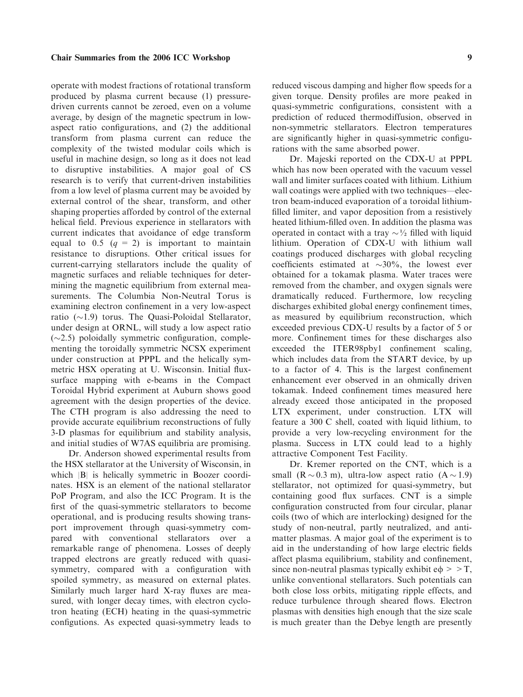operate with modest fractions of rotational transform produced by plasma current because (1) pressuredriven currents cannot be zeroed, even on a volume average, by design of the magnetic spectrum in lowaspect ratio configurations, and (2) the additional transform from plasma current can reduce the complexity of the twisted modular coils which is useful in machine design, so long as it does not lead to disruptive instabilities. A major goal of CS research is to verify that current-driven instabilities from a low level of plasma current may be avoided by external control of the shear, transform, and other shaping properties afforded by control of the external helical field. Previous experience in stellarators with current indicates that avoidance of edge transform equal to 0.5 ( $q = 2$ ) is important to maintain resistance to disruptions. Other critical issues for current-carrying stellarators include the quality of magnetic surfaces and reliable techniques for determining the magnetic equilibrium from external measurements. The Columbia Non-Neutral Torus is examining electron confinement in a very low-aspect ratio  $(\sim 1.9)$  torus. The Quasi-Poloidal Stellarator, under design at ORNL, will study a low aspect ratio  $(\sim 2.5)$  poloidally symmetric configuration, complementing the toroidally symmetric NCSX experiment under construction at PPPL and the helically symmetric HSX operating at U. Wisconsin. Initial fluxsurface mapping with e-beams in the Compact Toroidal Hybrid experiment at Auburn shows good agreement with the design properties of the device. The CTH program is also addressing the need to provide accurate equilibrium reconstructions of fully 3-D plasmas for equilibrium and stability analysis, and initial studies of W7AS equilibria are promising.

Dr. Anderson showed experimental results from the HSX stellarator at the University of Wisconsin, in which  $|B|$  is helically symmetric in Boozer coordinates. HSX is an element of the national stellarator PoP Program, and also the ICC Program. It is the first of the quasi-symmetric stellarators to become operational, and is producing results showing transport improvement through quasi-symmetry compared with conventional stellarators over a remarkable range of phenomena. Losses of deeply trapped electrons are greatly reduced with quasisymmetry, compared with a configuration with spoiled symmetry, as measured on external plates. Similarly much larger hard X-ray fluxes are measured, with longer decay times, with electron cyclotron heating (ECH) heating in the quasi-symmetric configutions. As expected quasi-symmetry leads to reduced viscous damping and higher flow speeds for a given torque. Density profiles are more peaked in quasi-symmetric configurations, consistent with a prediction of reduced thermodiffusion, observed in non-symmetric stellarators. Electron temperatures are significantly higher in quasi-symmetric configurations with the same absorbed power.

Dr. Majeski reported on the CDX-U at PPPL which has now been operated with the vacuum vessel wall and limiter surfaces coated with lithium. Lithium wall coatings were applied with two techniques—electron beam-induced evaporation of a toroidal lithiumfilled limiter, and vapor deposition from a resistively heated lithium-filled oven. In addition the plasma was operated in contact with a tray  $\sim \frac{1}{2}$  filled with liquid lithium. Operation of CDX-U with lithium wall coatings produced discharges with global recycling coefficients estimated at  $\sim$ 30%, the lowest ever obtained for a tokamak plasma. Water traces were removed from the chamber, and oxygen signals were dramatically reduced. Furthermore, low recycling discharges exhibited global energy confinement times, as measured by equilibrium reconstruction, which exceeded previous CDX-U results by a factor of 5 or more. Confinement times for these discharges also exceeded the ITER98pby1 confinement scaling, which includes data from the START device, by up to a factor of 4. This is the largest confinement enhancement ever observed in an ohmically driven tokamak. Indeed confinement times measured here already exceed those anticipated in the proposed LTX experiment, under construction. LTX will feature a 300 C shell, coated with liquid lithium, to provide a very low-recycling environment for the plasma. Success in LTX could lead to a highly attractive Component Test Facility.

Dr. Kremer reported on the CNT, which is a small  $(R \sim 0.3 \text{ m})$ , ultra-low aspect ratio  $(A \sim 1.9)$ stellarator, not optimized for quasi-symmetry, but containing good flux surfaces. CNT is a simple configuration constructed from four circular, planar coils (two of which are interlocking) designed for the study of non-neutral, partly neutralized, and antimatter plasmas. A major goal of the experiment is to aid in the understanding of how large electric fields affect plasma equilibrium, stability and confinement, since non-neutral plasmas typically exhibit  $e\phi$  > > T, unlike conventional stellarators. Such potentials can both close loss orbits, mitigating ripple effects, and reduce turbulence through sheared flows. Electron plasmas with densities high enough that the size scale is much greater than the Debye length are presently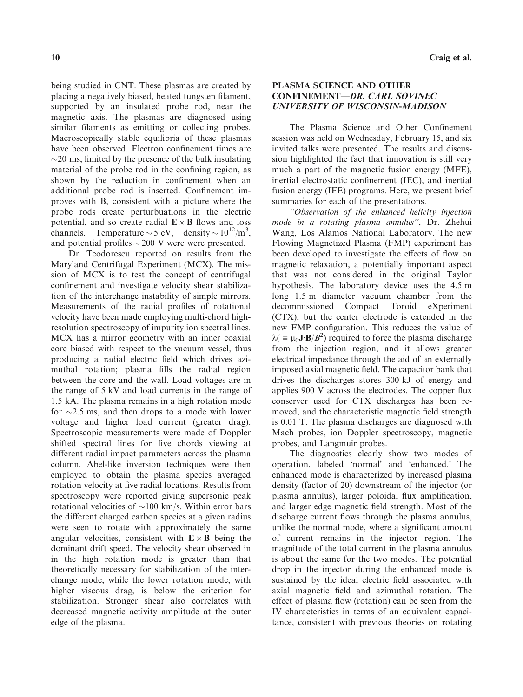being studied in CNT. These plasmas are created by placing a negatively biased, heated tungsten filament, supported by an insulated probe rod, near the magnetic axis. The plasmas are diagnosed using similar filaments as emitting or collecting probes. Macroscopically stable equilibria of these plasmas have been observed. Electron confinement times are  $\sim$ 20 ms, limited by the presence of the bulk insulating material of the probe rod in the confining region, as shown by the reduction in confinement when an additional probe rod is inserted. Confinement improves with B, consistent with a picture where the probe rods create perturbuations in the electric potential, and so create radial  $\mathbf{E} \times \mathbf{B}$  flows and loss channels. Temperature  $\sim$  5 eV, density  $\sim$  10<sup>12</sup>/m<sup>3</sup>, and potential profiles  $\sim$  200 V were were presented.

Dr. Teodorescu reported on results from the Maryland Centrifugal Experiment (MCX). The mission of MCX is to test the concept of centrifugal confinement and investigate velocity shear stabilization of the interchange instability of simple mirrors. Measurements of the radial profiles of rotational velocity have been made employing multi-chord highresolution spectroscopy of impurity ion spectral lines. MCX has a mirror geometry with an inner coaxial core biased with respect to the vacuum vessel, thus producing a radial electric field which drives azimuthal rotation; plasma fills the radial region between the core and the wall. Load voltages are in the range of 5 kV and load currents in the range of 1.5 kA. The plasma remains in a high rotation mode for  $\sim$ 2.5 ms, and then drops to a mode with lower voltage and higher load current (greater drag). Spectroscopic measurements were made of Doppler shifted spectral lines for five chords viewing at different radial impact parameters across the plasma column. Abel-like inversion techniques were then employed to obtain the plasma species averaged rotation velocity at five radial locations. Results from spectroscopy were reported giving supersonic peak rotational velocities of  $\sim$ 100 km/s. Within error bars the different charged carbon species at a given radius were seen to rotate with approximately the same angular velocities, consistent with  $E \times B$  being the dominant drift speed. The velocity shear observed in in the high rotation mode is greater than that theoretically necessary for stabilization of the interchange mode, while the lower rotation mode, with higher viscous drag, is below the criterion for stabilization. Stronger shear also correlates with decreased magnetic activity amplitude at the outer edge of the plasma.

# PLASMA SCIENCE AND OTHER CONFINEMENT—DR. CARL SOVINEC UNIVERSITY OF WISCONSIN-MADISON

The Plasma Science and Other Confinement session was held on Wednesday, February 15, and six invited talks were presented. The results and discussion highlighted the fact that innovation is still very much a part of the magnetic fusion energy (MFE), inertial electrostatic confinement (IEC), and inertial fusion energy (IFE) programs. Here, we present brief summaries for each of the presentations.

''Observation of the enhanced helicity injection mode in a rotating plasma annulus'', Dr. Zhehui Wang, Los Alamos National Laboratory. The new Flowing Magnetized Plasma (FMP) experiment has been developed to investigate the effects of flow on magnetic relaxation, a potentially important aspect that was not considered in the original Taylor hypothesis. The laboratory device uses the 4.5 m long 1.5 m diameter vacuum chamber from the decommissioned Compact Toroid eXperiment (CTX), but the center electrode is extended in the new FMP configuration. This reduces the value of  $\lambda$ ( =  $\mu_0 J \cdot B/B^2$ ) required to force the plasma discharge from the injection region, and it allows greater electrical impedance through the aid of an externally imposed axial magnetic field. The capacitor bank that drives the discharges stores 300 kJ of energy and applies 900 V across the electrodes. The copper flux conserver used for CTX discharges has been removed, and the characteristic magnetic field strength is 0.01 T. The plasma discharges are diagnosed with Mach probes, ion Doppler spectroscopy, magnetic probes, and Langmuir probes.

The diagnostics clearly show two modes of operation, labeled 'normal' and 'enhanced.' The enhanced mode is characterized by increased plasma density (factor of 20) downstream of the injector (or plasma annulus), larger poloidal flux amplification, and larger edge magnetic field strength. Most of the discharge current flows through the plasma annulus, unlike the normal mode, where a significant amount of current remains in the injector region. The magnitude of the total current in the plasma annulus is about the same for the two modes. The potential drop in the injector during the enhanced mode is sustained by the ideal electric field associated with axial magnetic field and azimuthal rotation. The effect of plasma flow (rotation) can be seen from the IV characteristics in terms of an equivalent capacitance, consistent with previous theories on rotating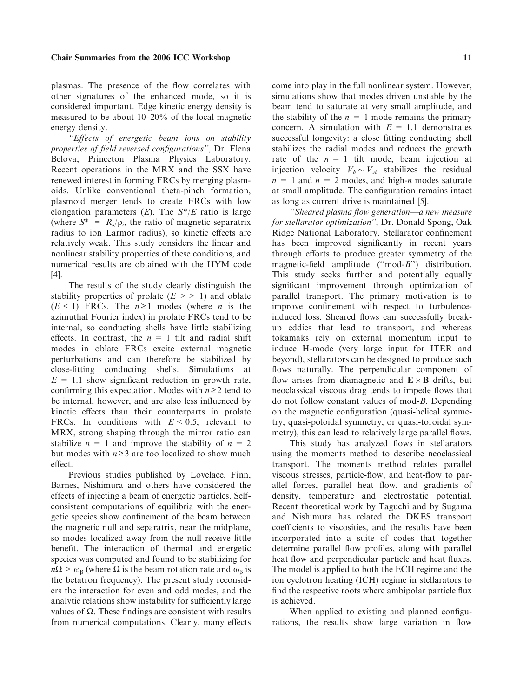#### Chair Summaries from the 2006 ICC Workshop 11

plasmas. The presence of the flow correlates with other signatures of the enhanced mode, so it is considered important. Edge kinetic energy density is measured to be about 10–20% of the local magnetic energy density.

''Effects of energetic beam ions on stability properties of field reversed configurations'', Dr. Elena Belova, Princeton Plasma Physics Laboratory. Recent operations in the MRX and the SSX have renewed interest in forming FRCs by merging plasmoids. Unlike conventional theta-pinch formation, plasmoid merger tends to create FRCs with low elongation parameters  $(E)$ . The  $S^*/E$  ratio is large (where  $S^* = R_s/\rho_i$ , the ratio of magnetic separatrix radius to ion Larmor radius), so kinetic effects are relatively weak. This study considers the linear and nonlinear stability properties of these conditions, and numerical results are obtained with the HYM code [4].

The results of the study clearly distinguish the stability properties of prolate  $(E \geq 1)$  and oblate  $(E < 1)$  FRCs. The  $n \ge 1$  modes (where *n* is the azimuthal Fourier index) in prolate FRCs tend to be internal, so conducting shells have little stabilizing effects. In contrast, the  $n = 1$  tilt and radial shift modes in oblate FRCs excite external magnetic perturbations and can therefore be stabilized by close-fitting conducting shells. Simulations at  $E = 1.1$  show significant reduction in growth rate, confirming this expectation. Modes with  $n \geq 2$  tend to be internal, however, and are also less influenced by kinetic effects than their counterparts in prolate FRCs. In conditions with  $E \le 0.5$ , relevant to MRX, strong shaping through the mirror ratio can stabilize  $n = 1$  and improve the stability of  $n = 2$ but modes with  $n \geq 3$  are too localized to show much effect.

Previous studies published by Lovelace, Finn, Barnes, Nishimura and others have considered the effects of injecting a beam of energetic particles. Selfconsistent computations of equilibria with the energetic species show confinement of the beam between the magnetic null and separatrix, near the midplane, so modes localized away from the null receive little benefit. The interaction of thermal and energetic species was computed and found to be stabilizing for  $n\Omega$  >  $\omega_{\beta}$  (where  $\Omega$  is the beam rotation rate and  $\omega_{\beta}$  is the betatron frequency). The present study reconsiders the interaction for even and odd modes, and the analytic relations show instability for sufficiently large values of  $\Omega$ . These findings are consistent with results from numerical computations. Clearly, many effects come into play in the full nonlinear system. However, simulations show that modes driven unstable by the beam tend to saturate at very small amplitude, and the stability of the  $n = 1$  mode remains the primary concern. A simulation with  $E = 1.1$  demonstrates successful longevity: a close fitting conducting shell stabilizes the radial modes and reduces the growth rate of the  $n = 1$  tilt mode, beam injection at injection velocity  $V_b \sim V_A$  stabilizes the residual  $n = 1$  and  $n = 2$  modes, and high-*n* modes saturate at small amplitude. The configuration remains intact as long as current drive is maintained [5].

''Sheared plasma flow generation—a new measure for stellarator optimization'', Dr. Donald Spong, Oak Ridge National Laboratory. Stellarator confinement has been improved significantly in recent years through efforts to produce greater symmetry of the magnetic-field amplitude ("mod-B") distribution. This study seeks further and potentially equally significant improvement through optimization of parallel transport. The primary motivation is to improve confinement with respect to turbulenceinduced loss. Sheared flows can successfully breakup eddies that lead to transport, and whereas tokamaks rely on external momentum input to induce H-mode (very large input for ITER and beyond), stellarators can be designed to produce such flows naturally. The perpendicular component of flow arises from diamagnetic and  $E \times B$  drifts, but neoclassical viscous drag tends to impede flows that do not follow constant values of mod-B. Depending on the magnetic configuration (quasi-helical symmetry, quasi-poloidal symmetry, or quasi-toroidal symmetry), this can lead to relatively large parallel flows.

This study has analyzed flows in stellarators using the moments method to describe neoclassical transport. The moments method relates parallel viscous stresses, particle-flow, and heat-flow to parallel forces, parallel heat flow, and gradients of density, temperature and electrostatic potential. Recent theoretical work by Taguchi and by Sugama and Nishimura has related the DKES transport coefficients to viscosities, and the results have been incorporated into a suite of codes that together determine parallel flow profiles, along with parallel heat flow and perpendicular particle and heat fluxes. The model is applied to both the ECH regime and the ion cyclotron heating (ICH) regime in stellarators to find the respective roots where ambipolar particle flux is achieved.

When applied to existing and planned configurations, the results show large variation in flow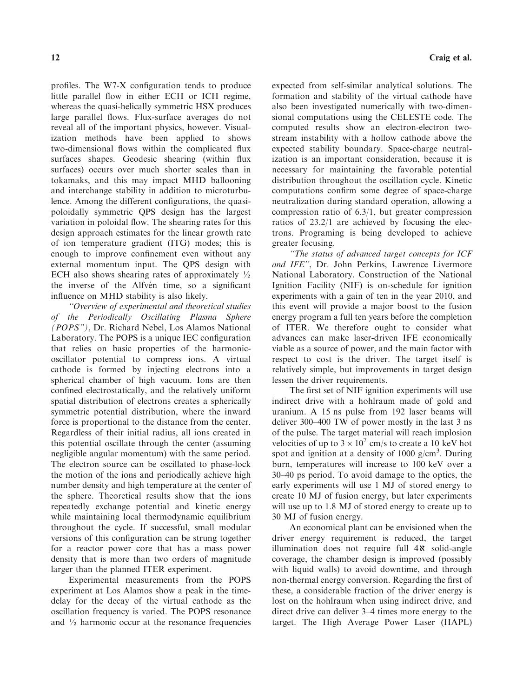profiles. The W7-X configuration tends to produce little parallel flow in either ECH or ICH regime, whereas the quasi-helically symmetric HSX produces large parallel flows. Flux-surface averages do not reveal all of the important physics, however. Visualization methods have been applied to shows two-dimensional flows within the complicated flux surfaces shapes. Geodesic shearing (within flux surfaces) occurs over much shorter scales than in tokamaks, and this may impact MHD ballooning and interchange stability in addition to microturbulence. Among the different configurations, the quasipoloidally symmetric QPS design has the largest variation in poloidal flow. The shearing rates for this design approach estimates for the linear growth rate of ion temperature gradient (ITG) modes; this is enough to improve confinement even without any external momentum input. The QPS design with ECH also shows shearing rates of approximately  $\frac{1}{2}$ the inverse of the Alfvén time, so a significant influence on MHD stability is also likely.

''Overview of experimental and theoretical studies of the Periodically Oscillating Plasma Sphere (POPS''), Dr. Richard Nebel, Los Alamos National Laboratory. The POPS is a unique IEC configuration that relies on basic properties of the harmonicoscillator potential to compress ions. A virtual cathode is formed by injecting electrons into a spherical chamber of high vacuum. Ions are then confined electrostatically, and the relatively uniform spatial distribution of electrons creates a spherically symmetric potential distribution, where the inward force is proportional to the distance from the center. Regardless of their initial radius, all ions created in this potential oscillate through the center (assuming negligible angular momentum) with the same period. The electron source can be oscillated to phase-lock the motion of the ions and periodically achieve high number density and high temperature at the center of the sphere. Theoretical results show that the ions repeatedly exchange potential and kinetic energy while maintaining local thermodynamic equilibrium throughout the cycle. If successful, small modular versions of this configuration can be strung together for a reactor power core that has a mass power density that is more than two orders of magnitude larger than the planned ITER experiment.

Experimental measurements from the POPS experiment at Los Alamos show a peak in the timedelay for the decay of the virtual cathode as the oscillation frequency is varied. The POPS resonance and ½ harmonic occur at the resonance frequencies expected from self-similar analytical solutions. The formation and stability of the virtual cathode have also been investigated numerically with two-dimensional computations using the CELESTE code. The computed results show an electron-electron twostream instability with a hollow cathode above the expected stability boundary. Space-charge neutralization is an important consideration, because it is necessary for maintaining the favorable potential distribution throughout the oscillation cycle. Kinetic computations confirm some degree of space-charge neutralization during standard operation, allowing a compression ratio of 6.3/1, but greater compression ratios of 23.2/1 are achieved by focusing the electrons. Programing is being developed to achieve greater focusing.

''The status of advanced target concepts for ICF and IFE'', Dr. John Perkins, Lawrence Livermore National Laboratory. Construction of the National Ignition Facility (NIF) is on-schedule for ignition experiments with a gain of ten in the year 2010, and this event will provide a major boost to the fusion energy program a full ten years before the completion of ITER. We therefore ought to consider what advances can make laser-driven IFE economically viable as a source of power, and the main factor with respect to cost is the driver. The target itself is relatively simple, but improvements in target design lessen the driver requirements.

The first set of NIF ignition experiments will use indirect drive with a hohlraum made of gold and uranium. A 15 ns pulse from 192 laser beams will deliver 300–400 TW of power mostly in the last 3 ns of the pulse. The target material will reach implosion velocities of up to  $3 \times 10^7$  cm/s to create a 10 keV hot spot and ignition at a density of 1000  $g/cm<sup>3</sup>$ . During burn, temperatures will increase to 100 keV over a 30–40 ps period. To avoid damage to the optics, the early experiments will use 1 MJ of stored energy to create 10 MJ of fusion energy, but later experiments will use up to 1.8 MJ of stored energy to create up to 30 MJ of fusion energy.

An economical plant can be envisioned when the driver energy requirement is reduced, the target illumination does not require full  $4 \times$  solid-angle coverage, the chamber design is improved (possibly with liquid walls) to avoid downtime, and through non-thermal energy conversion. Regarding the first of these, a considerable fraction of the driver energy is lost on the hohlraum when using indirect drive, and direct drive can deliver 3–4 times more energy to the target. The High Average Power Laser (HAPL)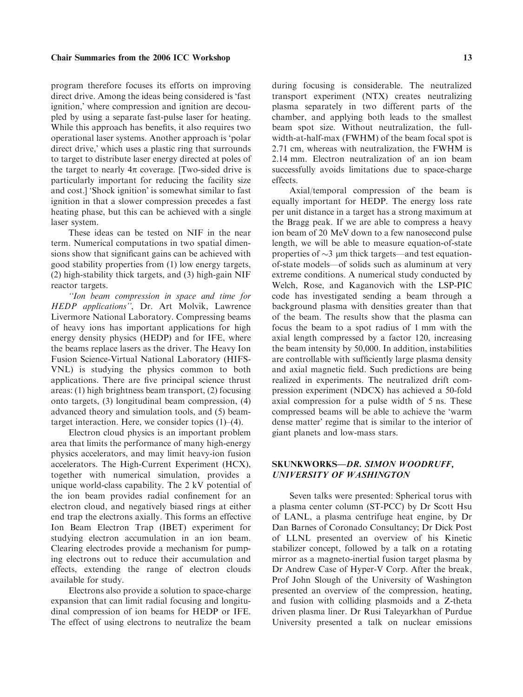#### Chair Summaries from the 2006 ICC Workshop 13

program therefore focuses its efforts on improving direct drive. Among the ideas being considered is 'fast ignition, where compression and ignition are decoupled by using a separate fast-pulse laser for heating. While this approach has benefits, it also requires two operational laser systems. Another approach is 'polar direct drive,' which uses a plastic ring that surrounds to target to distribute laser energy directed at poles of the target to nearly  $4\pi$  coverage. [Two-sided drive is particularly important for reducing the facility size and cost.] 'Shock ignition' is somewhat similar to fast ignition in that a slower compression precedes a fast heating phase, but this can be achieved with a single laser system.

These ideas can be tested on NIF in the near term. Numerical computations in two spatial dimensions show that significant gains can be achieved with good stability properties from (1) low energy targets, (2) high-stability thick targets, and (3) high-gain NIF reactor targets.

''Ion beam compression in space and time for HEDP applications'', Dr. Art Molvik, Lawrence Livermore National Laboratory. Compressing beams of heavy ions has important applications for high energy density physics (HEDP) and for IFE, where the beams replace lasers as the driver. The Heavy Ion Fusion Science-Virtual National Laboratory (HIFS-VNL) is studying the physics common to both applications. There are five principal science thrust areas: (1) high brightness beam transport, (2) focusing onto targets, (3) longitudinal beam compression, (4) advanced theory and simulation tools, and (5) beamtarget interaction. Here, we consider topics  $(1)$ – $(4)$ .

Electron cloud physics is an important problem area that limits the performance of many high-energy physics accelerators, and may limit heavy-ion fusion accelerators. The High-Current Experiment (HCX), together with numerical simulation, provides a unique world-class capability. The 2 kV potential of the ion beam provides radial confinement for an electron cloud, and negatively biased rings at either end trap the electrons axially. This forms an effective Ion Beam Electron Trap (IBET) experiment for studying electron accumulation in an ion beam. Clearing electrodes provide a mechanism for pumping electrons out to reduce their accumulation and effects, extending the range of electron clouds available for study.

Electrons also provide a solution to space-charge expansion that can limit radial focusing and longitudinal compression of ion beams for HEDP or IFE. The effect of using electrons to neutralize the beam during focusing is considerable. The neutralized transport experiment (NTX) creates neutralizing plasma separately in two different parts of the chamber, and applying both leads to the smallest beam spot size. Without neutralization, the fullwidth-at-half-max (FWHM) of the beam focal spot is 2.71 cm, whereas with neutralization, the FWHM is 2.14 mm. Electron neutralization of an ion beam successfully avoids limitations due to space-charge effects.

Axial/temporal compression of the beam is equally important for HEDP. The energy loss rate per unit distance in a target has a strong maximum at the Bragg peak. If we are able to compress a heavy ion beam of 20 MeV down to a few nanosecond pulse length, we will be able to measure equation-of-state properties of  $\sim$ 3 µm thick targets—and test equationof-state models—of solids such as aluminum at very extreme conditions. A numerical study conducted by Welch, Rose, and Kaganovich with the LSP-PIC code has investigated sending a beam through a background plasma with densities greater than that of the beam. The results show that the plasma can focus the beam to a spot radius of 1 mm with the axial length compressed by a factor 120, increasing the beam intensity by 50,000. In addition, instabilities are controllable with sufficiently large plasma density and axial magnetic field. Such predictions are being realized in experiments. The neutralized drift compression experiment (NDCX) has achieved a 50-fold axial compression for a pulse width of 5 ns. These compressed beams will be able to achieve the 'warm dense matter' regime that is similar to the interior of giant planets and low-mass stars.

## SKUNKWORKS—DR. SIMON WOODRUFF, UNIVERSITY OF WASHINGTON

Seven talks were presented: Spherical torus with a plasma center column (ST-PCC) by Dr Scott Hsu of LANL, a plasma centrifuge heat engine, by Dr Dan Barnes of Coronado Consultancy; Dr Dick Post of LLNL presented an overview of his Kinetic stabilizer concept, followed by a talk on a rotating mirror as a magneto-inertial fusion target plasma by Dr Andrew Case of Hyper-V Corp. After the break, Prof John Slough of the University of Washington presented an overview of the compression, heating, and fusion with colliding plasmoids and a Z-theta driven plasma liner. Dr Rusi Taleyarkhan of Purdue University presented a talk on nuclear emissions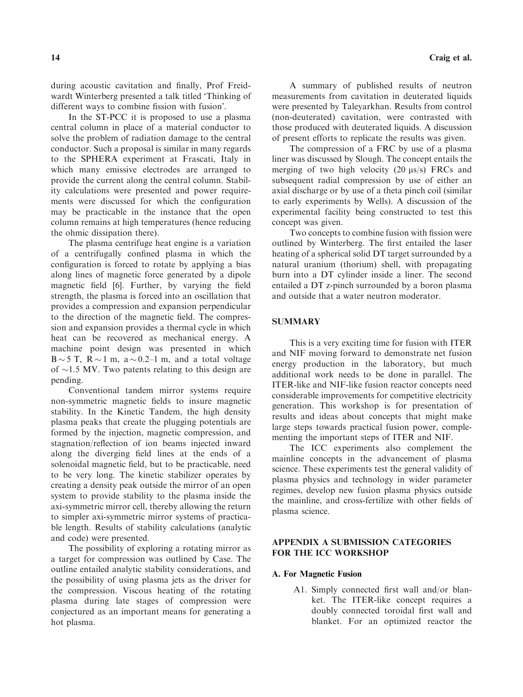during acoustic cavitation and finally, Prof Freidwardt Winterberg presented a talk titled 'Thinking of different ways to combine fission with fusion'.

In the ST-PCC it is proposed to use a plasma central column in place of a material conductor to solve the problem of radiation damage to the central conductor. Such a proposal is similar in many regards to the SPHERA experiment at Frascati, Italy in which many emissive electrodes are arranged to provide the current along the central column. Stability calculations were presented and power requirements were discussed for which the configuration may be practicable in the instance that the open column remains at high temperatures (hence reducing the ohmic dissipation there).

The plasma centrifuge heat engine is a variation of a centrifugally confined plasma in which the configuration is forced to rotate by applying a bias along lines of magnetic force generated by a dipole magnetic field [6]. Further, by varying the field strength, the plasma is forced into an oscillation that provides a compression and expansion perpendicular to the direction of the magnetic field. The compression and expansion provides a thermal cycle in which heat can be recovered as mechanical energy. A machine point design was presented in which  $B \sim 5$  T,  $R \sim 1$  m, a  $\sim 0.2$ –1 m, and a total voltage of  $\sim$ 1.5 MV. Two patents relating to this design are pending.

Conventional tandem mirror systems require non-symmetric magnetic fields to insure magnetic stability. In the Kinetic Tandem, the high density plasma peaks that create the plugging potentials are formed by the injection, magnetic compression, and stagnation/reflection of ion beams injected inward along the diverging field lines at the ends of a solenoidal magnetic field, but to be practicable, need to be very long. The kinetic stabilizer operates by creating a density peak outside the mirror of an open system to provide stability to the plasma inside the axi-symmetric mirror cell, thereby allowing the return to simpler axi-symmetric mirror systems of practicable length. Results of stability calculations (analytic and code) were presented.

The possibility of exploring a rotating mirror as a target for compression was outlined by Case. The outline entailed analytic stability considerations, and the possibility of using plasma jets as the driver for the compression. Viscous heating of the rotating plasma during late stages of compression were conjectured as an important means for generating a hot plasma.

A summary of published results of neutron measurements from cavitation in deuterated liquids were presented by Taleyarkhan. Results from control (non-deuterated) cavitation, were contrasted with those produced with deuterated liquids. A discussion of present efforts to replicate the results was given.

The compression of a FRC by use of a plasma liner was discussed by Slough. The concept entails the merging of two high velocity  $(20 \mu s/s)$  FRCs and subsequent radial compression by use of either an axial discharge or by use of a theta pinch coil (similar to early experiments by Wells). A discussion of the experimental facility being constructed to test this concept was given.

Two concepts to combine fusion with fission were outlined by Winterberg. The first entailed the laser heating of a spherical solid DT target surrounded by a natural uranium (thorium) shell, with propagating burn into a DT cylinder inside a liner. The second entailed a DT z-pinch surrounded by a boron plasma and outside that a water neutron moderator.

## **SUMMARY**

This is a very exciting time for fusion with ITER and NIF moving forward to demonstrate net fusion energy production in the laboratory, but much additional work needs to be done in parallel. The ITER-like and NIF-like fusion reactor concepts need considerable improvements for competitive electricity generation. This workshop is for presentation of results and ideas about concepts that might make large steps towards practical fusion power, complementing the important steps of ITER and NIF.

The ICC experiments also complement the mainline concepts in the advancement of plasma science. These experiments test the general validity of plasma physics and technology in wider parameter regimes, develop new fusion plasma physics outside the mainline, and cross-fertilize with other fields of plasma science.

## APPENDIX A SUBMISSION CATEGORIES FOR THE ICC WORKSHOP

#### A. For Magnetic Fusion

A1. Simply connected first wall and/or blanket. The ITER-like concept requires a doubly connected toroidal first wall and blanket. For an optimized reactor the